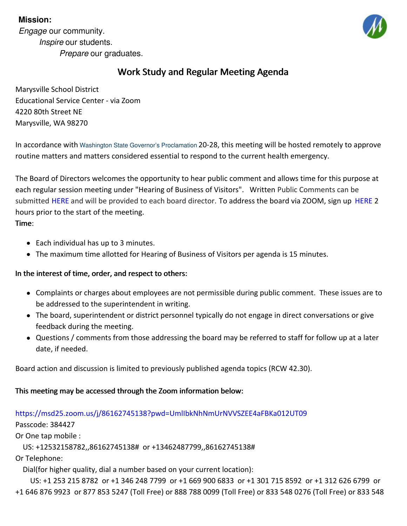# **Mission:**

*Engage* our community. *Inspire* our students. *Prepare* our graduates.



# Work Study and Regular Meeting Agenda

Marysville School District Educational Service Center - via Zoom 4220 80th Street NE Marysville, WA 98270

In accordance with Washington State Governor's [Proclamation](https://www.governor.wa.gov/sites/default/files/proclamations/20-28 - COVID-19 Open Govt Laws Waivers %28tmp%291.pdf?utm_medium=email&utm_source=govdelivery) 20-28, this meeting will be hosted remotely to approve routine matters and matters considered essential to respond to the current health emergency.

The Board of Directors welcomes the opportunity to hear public comment and allows time for this purpose at each regular session meeting under "Hearing of Business of Visitors". Written Public Comments can be submitted [HERE](https://forms.gle/TDLrkLcA1pu67Zo5A) and will be provided to each board director. To address the board via ZOOM, sign up HERE 2 hours prior to the start of the meeting.

Time:

- Each individual has up to 3 minutes.
- The maximum time allotted for Hearing of Business of Visitors per agenda is 15 minutes.

# In the interest of time, order, and respect to others:

- Complaints or charges about employees are not permissible during public comment. These issues are to be addressed to the superintendent in writing.
- The board, superintendent or district personnel typically do not engage in direct conversations or give feedback during the meeting.
- Questions / comments from those addressing the board may be referred to staff for follow up at a later date, if needed.

Board action and discussion is limited to previously published agenda topics (RCW 42.30).

# This meeting may be accessed through the Zoom information below:

# <https://msd25.zoom.us/j/86162745138?pwd=UmlIbkNhNmUrNVVSZEE4aFBKa012UT09>

Passcode: 384427

Or One tap mobile :

US: +12532158782,,86162745138# or +13462487799,,86162745138#

Or Telephone:

Dial(for higher quality, dial a number based on your current location):

US: +1 253 215 8782 or +1 346 248 7799 or +1 669 900 6833 or +1 301 715 8592 or +1 312 626 6799 or +1 646 876 9923 or 877 853 5247 (Toll Free) or 888 788 0099 (Toll Free) or 833 548 0276 (Toll Free) or 833 548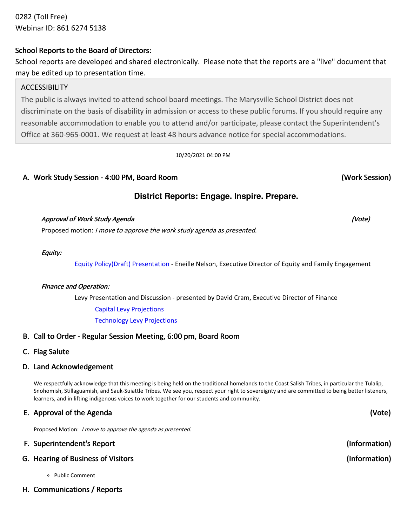0282 (Toll Free) Webinar ID: 861 6274 5138

# School Reports to the Board of Directors:

School reports are developed and shared electronically. Please note that the reports are a "live" document that may be edited up to presentation time.

# **ACCESSIBILITY**

The public is always invited to attend school board meetings. The Marysville School District does not discriminate on the basis of disability in admission or access to these public forums. If you should require any reasonable accommodation to enable you to attend and/or participate, please contact the Superintendent's Office at 360-965-0001. We request at least 48 hours advance notice for special accommodations.

### 10/20/2021 04:00 PM

# A. Work Study Session - 4:00 PM, Board Room

# **District Reports: Engage. Inspire. Prepare.**

## Approval of Work Study Agenda (Vote) and the study of the study of the study of the study  $($ Vote) and the study  $A$ genda (Vote) and the study  $A$ genda (Vote) and the study  $A$ genda (Vote) and the study  $A$ genda (Vote) and

Proposed motion: I move to approve the work study agenda as presented.

### Equity:

Equity Policy(Draft) [Presentation](https://docs.google.com/presentation/d/1XOJxcO8dW3FJTr_XOBzzTOnluKoyvaoMR_X5XOk1p-U/edit?usp=sharing) - Eneille Nelson, Executive Director of Equity and Family Engagement

## Finance and Operation:

Levy Presentation and Discussion - presented by David Cram, Executive Director of Finance

Capital Levy [Projections](https://app.eduportal.com/documents/view/811333)

[Technology](https://app.eduportal.com/documents/view/811334) Levy Projections

# B. Call to Order - Regular Session Meeting, 6:00 pm, Board Room

C. Flag Salute

# D. Land Acknowledgement

We respectfully acknowledge that this meeting is being held on the traditional homelands to the Coast Salish Tribes, in particular the Tulalip, Snohomish, Stillaguamish, and Sauk-Suiattle Tribes. We see you, respect your right to sovereignty and are committed to being better listeners, learners, and in lifting indigenous voices to work together for our students and community.

# E. Approval of the Agenda

Proposed Motion: *I move to approve the agenda as presented.* 

| F. Superintendent's Report         | (Information) |
|------------------------------------|---------------|
| G. Hearing of Business of Visitors | (Information) |

- Public Comment
- H. Communications / Reports

(Work Session)

(Vote)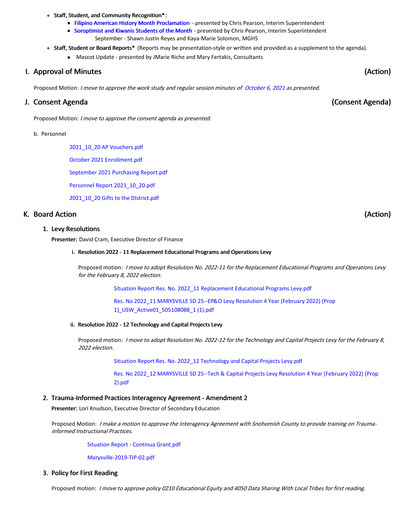#### Staff, Student, and Community Recognition\* :

- Filipino American History Month [Proclamation](https://app.eduportal.com/documents/view/811171) presented by Chris Pearson, Interim Superintendent
- [Soroptimist](https://docs.google.com/presentation/d/1yE84dC5F5EXPPTcqz5HjKQlBofFbiXMcBJceSyqQCzQ/edit?usp=sharing) and Kiwanis Students of the Month presented by Chris Pearson, Interim Superintendent September - Shawn Justin Reyes and Kaya-Marie Solomon, MGHS
- Staff, Student or Board Reports\* (Reports may be presentation-style or written and provided as a supplement to the agenda).
	- Mascot Update presented by JMarie Riche and Mary Fertakis, Consultants

#### I. Approval of Minutes

Proposed Motion: I move to approve the work study and regular session minutes of [October](https://app.eduportal.com/minute/preview_minute_pdf/24590) 6, 2021 as presented.

#### J. Consent Agenda

Proposed Motion: <sup>I</sup> move to approve the consent agenda as presented.

#### b. Personnel

2021\_10\_20 AP [Vouchers.pdf](https://app.eduportal.com/documents/view/810977)

October 2021 [Enrollment.pdf](https://app.eduportal.com/documents/view/810976)

[September](https://app.eduportal.com/documents/view/810975) 2021 Purchasing Report.pdf

Personnel Report [2021\\_10\\_20.pdf](https://app.eduportal.com/documents/view/811685)

[2021\\_10\\_20](https://app.eduportal.com/documents/view/810974) Gifts to the DIstrict.pdf

#### K. Board Action

#### 1. Levy Resolutions

Presenter: David Cram, Executive Director of Finance

#### i. Resolution 2022 - 11 Replacement Educational Programs and Operations Levy

Proposed motion: I move to adopt Resolution No. 2022-11 for the Replacement Educational Programs and Operations Levy for the February 8, 2022 election.

Situation Report Res. No. 2022\_11 [Replacement](https://app.eduportal.com/documents/view/811136) Educational Programs Levy.pdf

Res. No 2022\_11 MARYSVILLE SD 25--EP&O Levy Resolution 4 Year (February 2022) (Prop [1\)\\_USW\\_Active01\\_505108088\\_1](https://app.eduportal.com/documents/view/811134) (1).pdf

#### ii. Resolution 2022 - 12 Technology and Capital Projects Levy

Proposed motion: I move to adopt Resolution No. 2022-12 for the Technology and Capital Projects Levy for the February 8, 2022 election.

Situation Report Res. No. 2022\_12 [Technology](https://app.eduportal.com/documents/view/811137) and Capital Projects Levy.pdf

Res. No 2022\_12 [MARYSVILLE](https://app.eduportal.com/documents/view/811135) SD 25--Tech & Capital Projects Levy Resolution 4 Year (February 2022) (Prop 2).pdf

#### 2. Trauma-Informed Practices Interagency Agreement - Amendment 2

Presenter: Lori Knudson, Executive Director of Secondary Education

Proposed Motion: I make a motion to approve the Interagency Agreement with Snohomish County to provide training on Traumainformed Instructional Practices.

Situation Report - Continua [Grant.pdf](https://app.eduportal.com/documents/view/811481)

[Marysville-2019-TIP-02.pdf](https://app.eduportal.com/documents/view/811133)

#### 3. Policy for First Reading

Proposed motion: I move to approve policy 0210 Educational Equity and 4050 Data Sharing With Local Tribes for first reading.

(Action)

(Action)

(Consent Agenda)